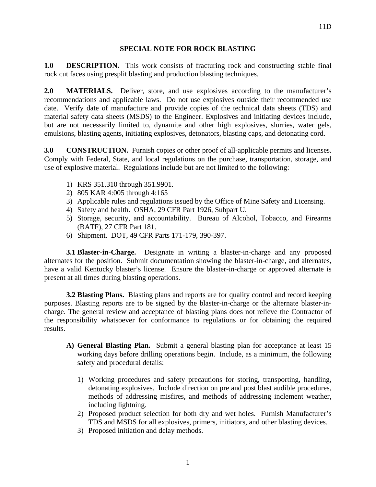## **SPECIAL NOTE FOR ROCK BLASTING**

**1.0 DESCRIPTION.** This work consists of fracturing rock and constructing stable final rock cut faces using presplit blasting and production blasting techniques.

**2.0 MATERIALS.** Deliver, store, and use explosives according to the manufacturer's recommendations and applicable laws. Do not use explosives outside their recommended use date. Verify date of manufacture and provide copies of the technical data sheets (TDS) and material safety data sheets (MSDS) to the Engineer. Explosives and initiating devices include, but are not necessarily limited to, dynamite and other high explosives, slurries, water gels, emulsions, blasting agents, initiating explosives, detonators, blasting caps, and detonating cord.

**3.0 CONSTRUCTION.** Furnish copies or other proof of all-applicable permits and licenses. Comply with Federal, State, and local regulations on the purchase, transportation, storage, and use of explosive material. Regulations include but are not limited to the following:

- 1) KRS 351.310 through 351.9901.
- 2) 805 KAR 4:005 through 4:165
- 3) Applicable rules and regulations issued by the Office of Mine Safety and Licensing.
- 4) Safety and health. OSHA, 29 CFR Part 1926, Subpart U.
- 5) Storage, security, and accountability. Bureau of Alcohol, Tobacco, and Firearms (BATF), 27 CFR Part 181.
- 6) Shipment. DOT, 49 CFR Parts 171-179, 390-397.

**3.1 Blaster-in-Charge.** Designate in writing a blaster-in-charge and any proposed alternates for the position. Submit documentation showing the blaster-in-charge, and alternates, have a valid Kentucky blaster's license. Ensure the blaster-in-charge or approved alternate is present at all times during blasting operations.

**3.2 Blasting Plans.** Blasting plans and reports are for quality control and record keeping purposes. Blasting reports are to be signed by the blaster-in-charge or the alternate blaster-incharge. The general review and acceptance of blasting plans does not relieve the Contractor of the responsibility whatsoever for conformance to regulations or for obtaining the required results.

- **A) General Blasting Plan.** Submit a general blasting plan for acceptance at least 15 working days before drilling operations begin. Include, as a minimum, the following safety and procedural details:
	- 1) Working procedures and safety precautions for storing, transporting, handling, detonating explosives. Include direction on pre and post blast audible procedures, methods of addressing misfires, and methods of addressing inclement weather, including lightning.
	- 2) Proposed product selection for both dry and wet holes. Furnish Manufacturer's TDS and MSDS for all explosives, primers, initiators, and other blasting devices.
	- 3) Proposed initiation and delay methods.

11D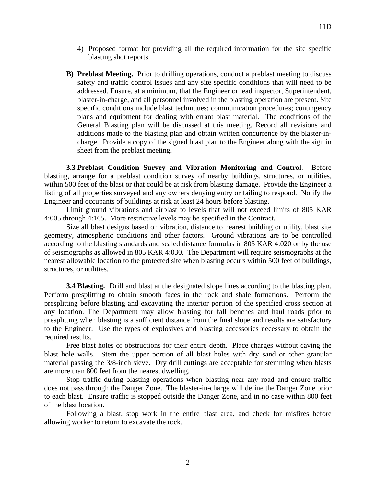- 4) Proposed format for providing all the required information for the site specific blasting shot reports.
- **B) Preblast Meeting.** Prior to drilling operations, conduct a preblast meeting to discuss safety and traffic control issues and any site specific conditions that will need to be addressed. Ensure, at a minimum, that the Engineer or lead inspector, Superintendent, blaster-in-charge, and all personnel involved in the blasting operation are present. Site specific conditions include blast techniques; communication procedures; contingency plans and equipment for dealing with errant blast material. The conditions of the General Blasting plan will be discussed at this meeting. Record all revisions and additions made to the blasting plan and obtain written concurrence by the blaster-incharge. Provide a copy of the signed blast plan to the Engineer along with the sign in sheet from the preblast meeting.

**3.3 Preblast Condition Survey and Vibration Monitoring and Control**. Before blasting, arrange for a preblast condition survey of nearby buildings, structures, or utilities, within 500 feet of the blast or that could be at risk from blasting damage. Provide the Engineer a listing of all properties surveyed and any owners denying entry or failing to respond. Notify the Engineer and occupants of buildings at risk at least 24 hours before blasting.

Limit ground vibrations and airblast to levels that will not exceed limits of 805 KAR 4:005 through 4:165. More restrictive levels may be specified in the Contract.

Size all blast designs based on vibration, distance to nearest building or utility, blast site geometry, atmospheric conditions and other factors. Ground vibrations are to be controlled according to the blasting standards and scaled distance formulas in 805 KAR 4:020 or by the use of seismographs as allowed in 805 KAR 4:030. The Department will require seismographs at the nearest allowable location to the protected site when blasting occurs within 500 feet of buildings, structures, or utilities.

**3.4 Blasting.** Drill and blast at the designated slope lines according to the blasting plan. Perform presplitting to obtain smooth faces in the rock and shale formations. Perform the presplitting before blasting and excavating the interior portion of the specified cross section at any location. The Department may allow blasting for fall benches and haul roads prior to presplitting when blasting is a sufficient distance from the final slope and results are satisfactory to the Engineer. Use the types of explosives and blasting accessories necessary to obtain the required results.

Free blast holes of obstructions for their entire depth. Place charges without caving the blast hole walls. Stem the upper portion of all blast holes with dry sand or other granular material passing the 3/8-inch sieve. Dry drill cuttings are acceptable for stemming when blasts are more than 800 feet from the nearest dwelling.

Stop traffic during blasting operations when blasting near any road and ensure traffic does not pass through the Danger Zone. The blaster-in-charge will define the Danger Zone prior to each blast. Ensure traffic is stopped outside the Danger Zone, and in no case within 800 feet of the blast location.

Following a blast, stop work in the entire blast area, and check for misfires before allowing worker to return to excavate the rock.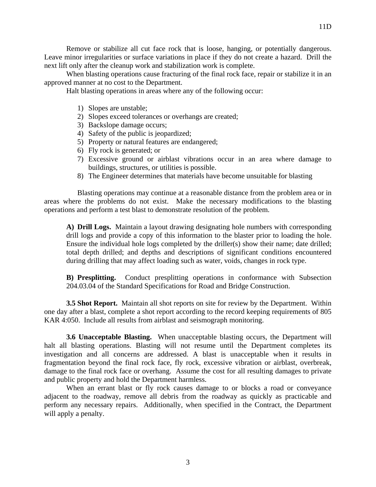Remove or stabilize all cut face rock that is loose, hanging, or potentially dangerous. Leave minor irregularities or surface variations in place if they do not create a hazard. Drill the next lift only after the cleanup work and stabilization work is complete.

When blasting operations cause fracturing of the final rock face, repair or stabilize it in an approved manner at no cost to the Department.

Halt blasting operations in areas where any of the following occur:

- 1) Slopes are unstable;
- 2) Slopes exceed tolerances or overhangs are created;
- 3) Backslope damage occurs;
- 4) Safety of the public is jeopardized;
- 5) Property or natural features are endangered;
- 6) Fly rock is generated; or
- 7) Excessive ground or airblast vibrations occur in an area where damage to buildings, structures, or utilities is possible.
- 8) The Engineer determines that materials have become unsuitable for blasting

Blasting operations may continue at a reasonable distance from the problem area or in areas where the problems do not exist. Make the necessary modifications to the blasting operations and perform a test blast to demonstrate resolution of the problem.

**A) Drill Logs.** Maintain a layout drawing designating hole numbers with corresponding drill logs and provide a copy of this information to the blaster prior to loading the hole. Ensure the individual hole logs completed by the driller(s) show their name; date drilled; total depth drilled; and depths and descriptions of significant conditions encountered during drilling that may affect loading such as water, voids, changes in rock type.

**B) Presplitting.** Conduct presplitting operations in conformance with Subsection 204.03.04 of the Standard Specifications for Road and Bridge Construction.

**3.5 Shot Report.** Maintain all shot reports on site for review by the Department. Within one day after a blast, complete a shot report according to the record keeping requirements of 805 KAR 4:050. Include all results from airblast and seismograph monitoring.

**3.6 Unacceptable Blasting.** When unacceptable blasting occurs, the Department will halt all blasting operations. Blasting will not resume until the Department completes its investigation and all concerns are addressed. A blast is unacceptable when it results in fragmentation beyond the final rock face, fly rock, excessive vibration or airblast, overbreak, damage to the final rock face or overhang. Assume the cost for all resulting damages to private and public property and hold the Department harmless.

When an errant blast or fly rock causes damage to or blocks a road or conveyance adjacent to the roadway, remove all debris from the roadway as quickly as practicable and perform any necessary repairs. Additionally, when specified in the Contract, the Department will apply a penalty.